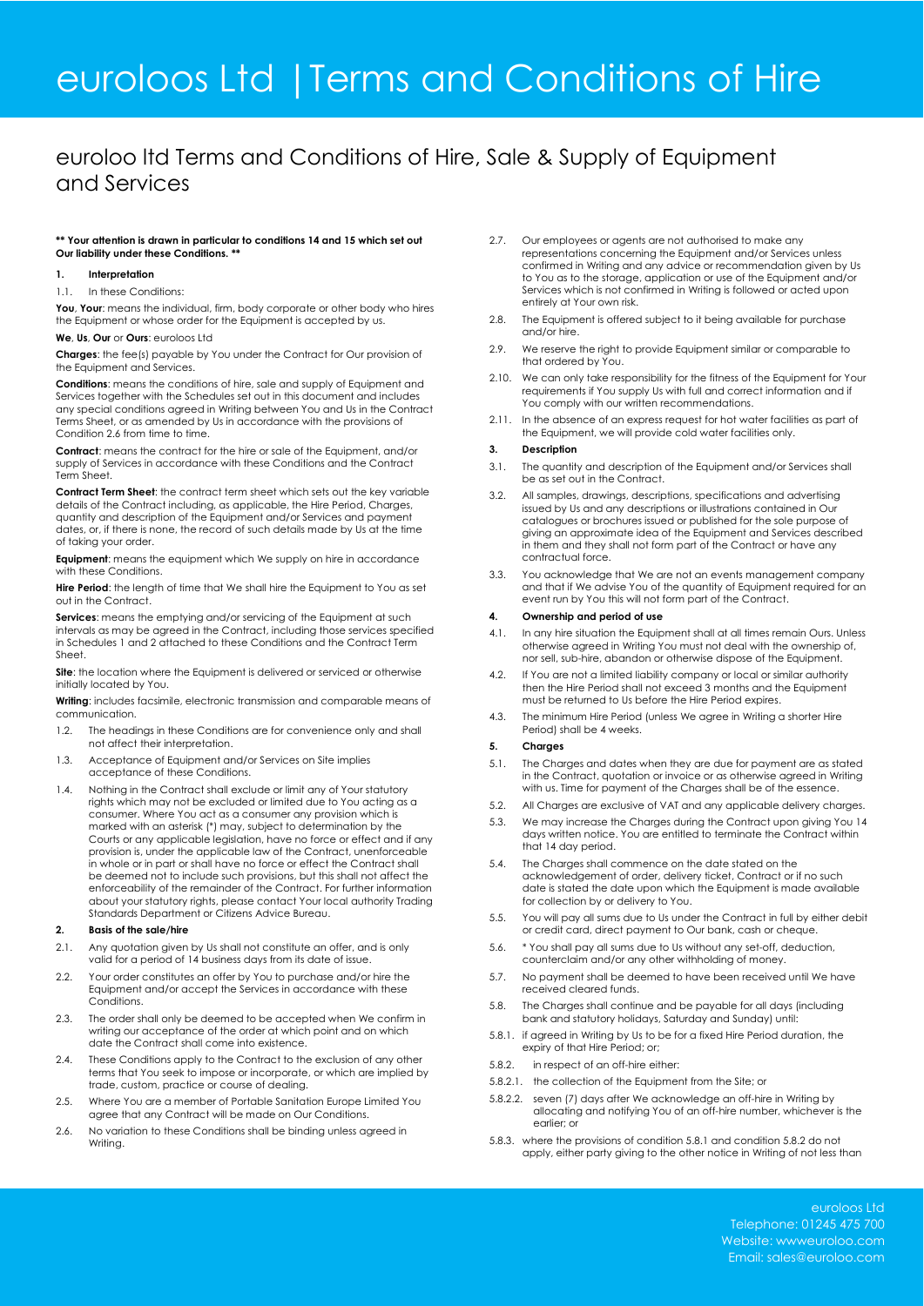# euroloos Ltd |Terms and Conditions of Hire

### euroloo ltd Terms and Conditions of Hire, Sale & Supply of Equipment and Services

### **\*\* Your attention is drawn in particular to conditions 14 and 15 which set out Our liability under these Conditions. \***

### **1. Interpretation**

#### 1.1. In these Conditions:

**You**, **Your**: means the individual, firm, body corporate or other body who hires the Equipment or whose order for the Equipment is accepted by us.

#### **We**, **Us**, **Our** or **Ours**: euroloos Ltd

**Charges**: the fee(s) payable by You under the Contract for Our provision of the Equipment and Services.

**Conditions**: means the conditions of hire, sale and supply of Equipment and Services together with the Schedules set out in this document and includes any special conditions agreed in Writing between You and Us in the Contract Terms Sheet, or as amended by Us in accordance with the provisions of Condition 2.6 from time to time.

**Contract**: means the contract for the hire or sale of the Equipment, and/or supply of Services in accordance with these Conditions and the Contract Term Sheet.

**Contract Term Sheet**: the contract term sheet which sets out the key variable details of the Contract including, as applicable, the Hire Period, Charges, quantity and description of the Equipment and/or Services and payment dates, or, if there is none, the record of such details made by Us at the time of taking your order.

**Equipment**: means the equipment which We supply on hire in accordance with these Conditions.

**Hire Period:** the length of time that We shall hire the Equipment to You as set out in the Contract.

**Services**: means the emptying and/or servicing of the Equipment at such intervals as may be agreed in the Contract, including those services specified in Schedules 1 and 2 attached to these Conditions and the Contract Term Sheet.

**Site**: the location where the Equipment is delivered or serviced or otherwise initially located by You.

**Writing**: includes facsimile, electronic transmission and comparable means of communication.

- 1.2. The headings in these Conditions are for convenience only and shall not affect their interpretation.
- 1.3. Acceptance of Equipment and/or Services on Site implies acceptance of these Conditions.
- 1.4. Nothing in the Contract shall exclude or limit any of Your statutory rights which may not be excluded or limited due to You acting as a consumer. Where You act as a consumer any provision which is marked with an asterisk (\*) may, subject to determination by the Courts or any applicable legislation, have no force or effect and if any provision is, under the applicable law of the Contract, unenforceable in whole or in part or shall have no force or effect the Contract shall be deemed not to include such provisions, but this shall not affect the enforceability of the remainder of the Contract. For further information about your statutory rights, please contact Your local authority Trading Standards Department or Citizens Advice Bureau.

### **2. Basis of the sale/hire**

- 2.1. Any quotation given by Us shall not constitute an offer, and is only valid for a period of 14 business days from its date of issue.
- 2.2. Your order constitutes an offer by You to purchase and/or hire the Equipment and/or accept the Services in accordance with these **Conditions**
- 2.3. The order shall only be deemed to be accepted when We confirm in writing our acceptance of the order at which point and on which date the Contract shall come into existence.
- 2.4. These Conditions apply to the Contract to the exclusion of any other terms that You seek to impose or incorporate, or which are implied by trade, custom, practice or course of dealing.
- 2.5. Where You are a member of Portable Sanitation Europe Limited You agree that any Contract will be made on Our Conditions.
- 2.6. No variation to these Conditions shall be binding unless agreed in Writing.
- 2.7. Our employees or agents are not authorised to make any representations concerning the Equipment and/or Services unless confirmed in Writing and any advice or recommendation given by Us to You as to the storage, application or use of the Equipment and/or Services which is not confirmed in Writing is followed or acted upon entirely at Your own risk.
- 2.8. The Equipment is offered subject to it being available for purchase and/or hire.
- 2.9. We reserve the right to provide Equipment similar or comparable to that ordered by You.
- 2.10. We can only take responsibility for the fitness of the Equipment for Your requirements if You supply Us with full and correct information and if You comply with our written recommendations.
- 2.11. In the absence of an express request for hot water facilities as part of the Equipment, we will provide cold water facilities only.

#### **3. Description**

- 3.1. The quantity and description of the Equipment and/or Services shall be as set out in the Contract.
- 3.2. All samples, drawings, descriptions, specifications and advertising issued by Us and any descriptions or illustrations contained in Our catalogues or brochures issued or published for the sole purpose of giving an approximate idea of the Equipment and Services described in them and they shall not form part of the Contract or have any contractual force.
- 3.3. You acknowledge that We are not an events management company and that if We advise You of the quantity of Equipment required for an event run by You this will not form part of the Contract.

### **4. Ownership and period of use**

- 4.1. In any hire situation the Equipment shall at all times remain Ours. Unless otherwise agreed in Writing You must not deal with the ownership of, nor sell, sub-hire, abandon or otherwise dispose of the Equipment.
- 4.2. If You are not a limited liability company or local or similar authority then the Hire Period shall not exceed 3 months and the Equipment must be returned to Us before the Hire Period expires.
- 4.3. The minimum Hire Period (unless We agree in Writing a shorter Hire Period) shall be 4 weeks.

### **5. Charges**

- 5.1. The Charges and dates when they are due for payment are as stated in the Contract, quotation or invoice or as otherwise agreed in Writing with us. Time for payment of the Charges shall be of the essence.
- 5.2. All Charges are exclusive of VAT and any applicable delivery charges.
- 5.3. We may increase the Charges during the Contract upon giving You 14 days written notice. You are entitled to terminate the Contract within that 14 day period.
- 5.4. The Charges shall commence on the date stated on the acknowledgement of order, delivery ticket, Contract or if no such date is stated the date upon which the Equipment is made available for collection by or delivery to You.
- 5.5. You will pay all sums due to Us under the Contract in full by either debit or credit card, direct payment to Our bank, cash or cheque.
- 5.6. \* You shall pay all sums due to Us without any set-off, deduction, counterclaim and/or any other withholding of money.
- 5.7. No payment shall be deemed to have been received until We have received cleared funds.
- 5.8. The Charges shall continue and be payable for all days (including bank and statutory holidays, Saturday and Sunday) until:
- 5.8.1. if agreed in Writing by Us to be for a fixed Hire Period duration, the expiry of that Hire Period; or;
- 5.8.2. in respect of an off-hire either:
- 5.8.2.1. the collection of the Equipment from the Site; or
- 5.8.2.2. seven (7) days after We acknowledge an off-hire in Writing by allocating and notifying You of an off-hire number, whichever is the earlier; or
- 5.8.3. where the provisions of condition 5.8.1 and condition 5.8.2 do not apply, either party giving to the other notice in Writing of not less than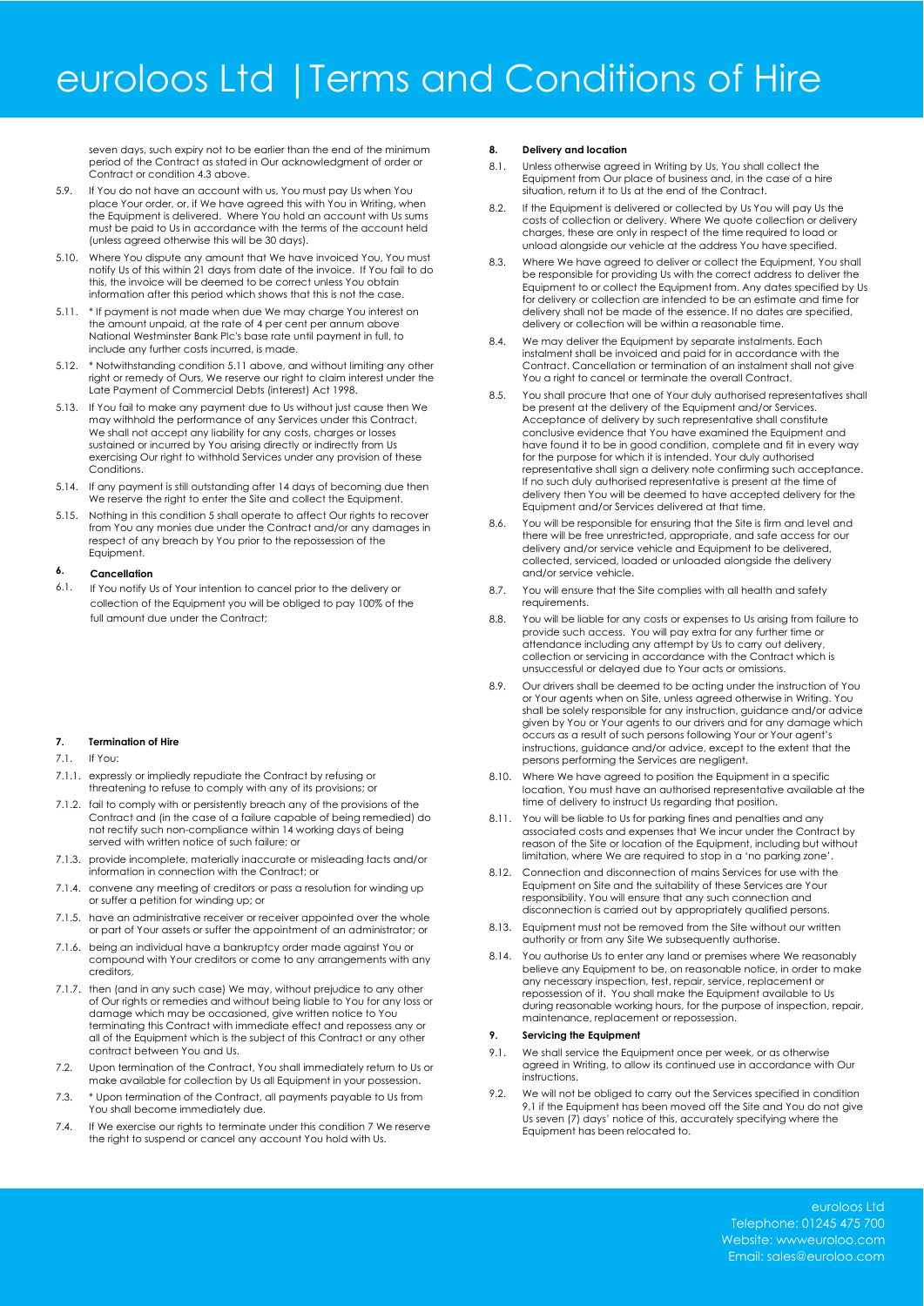### euroloos Ltd |Terms and Conditions of Hire

seven days, such expiry not to be earlier than the end of the minimum period of the Contract as stated in Our acknowledgment of order or Contract or condition 4.3 above.

- 5.9. If You do not have an account with us, You must pay Us when You place Your order, or, if We have agreed this with You in Writing, when the Equipment is delivered. Where You hold an account with Us sums must be paid to Us in accordance with the terms of the account held (unless agreed otherwise this will be 30 days).
- 5.10. Where You dispute any amount that We have invoiced You, You must notify Us of this within 21 days from date of the invoice. If You fail to do this, the invoice will be deemed to be correct unless You obtain information after this period which shows that this is not the case.
- 5.11. \* If payment is not made when due We may charge You interest on the amount unpaid, at the rate of 4 per cent per annum above National Westminster Bank Plc's base rate until payment in full, to include any further costs incurred, is made.
- 5.12. \* Notwithstanding condition 5.11 above, and without limiting any other right or remedy of Ours, We reserve our right to claim interest under the Late Payment of Commercial Debts (interest) Act 1998.
- 5.13. If You fail to make any payment due to Us without just cause then We may withhold the performance of any Services under this Contract. We shall not accept any liability for any costs, charges or losses sustained or incurred by You arising directly or indirectly from Us exercising Our right to withhold Services under any provision of these Conditions.
- 5.14. If any payment is still outstanding after 14 days of becoming due then We reserve the right to enter the Site and collect the Equipment.
- 5.15. Nothing in this condition 5 shall operate to affect Our rights to recover from You any monies due under the Contract and/or any damages in respect of any breach by You prior to the repossession of the Equipment.

#### **6. Cancellation**

6.1. If You notify Us of Your intention to cancel prior to the delivery or collection of the Equipment you will be obliged to pay 100% of the full amount due under the Contract

### **7. Termination of Hire**

7.1. If You:

- 7.1.1. expressly or impliedly repudiate the Contract by refusing or threatening to refuse to comply with any of its provisions; or
- 7.1.2. fail to comply with or persistently breach any of the provisions of the Contract and (in the case of a failure capable of being remedied) do not rectify such non-compliance within 14 working days of being served with written notice of such failure; or
- 7.1.3. provide incomplete, materially inaccurate or misleading facts and/or information in connection with the Contract; or
- 7.1.4. convene any meeting of creditors or pass a resolution for winding up or suffer a petition for winding up; or
- 7.1.5. have an administrative receiver or receiver appointed over the whole or part of Your assets or suffer the appointment of an administrator; or
- 7.1.6. being an individual have a bankruptcy order made against You or compound with Your creditors or come to any arrangements with any creditors,
- 7.1.7. then (and in any such case) We may, without prejudice to any other of Our rights or remedies and without being liable to You for any loss or damage which may be occasioned, give written notice to You terminating this Contract with immediate effect and repossess any or all of the Equipment which is the subject of this Contract or any other contract between You and Us.
- 7.2. Upon termination of the Contract, You shall immediately return to Us or make available for collection by Us all Equipment in your possession.
- 7.3. \* Upon termination of the Contract, all payments payable to Us from You shall become immediately due.
- 7.4. If We exercise our rights to terminate under this condition 7 We reserve the right to suspend or cancel any account You hold with Us.

### **8. Delivery and location**

- 8.1. Unless otherwise agreed in Writing by Us, You shall collect the Equipment from Our place of business and, in the case of a hire situation, return it to Us at the end of the Contract.
- 8.2. If the Equipment is delivered or collected by Us You will pay Us the costs of collection or delivery. Where We quote collection or delivery charges, these are only in respect of the time required to load or unload alongside our vehicle at the address You have specified.
- 8.3. Where We have agreed to deliver or collect the Equipment, You shall be responsible for providing Us with the correct address to deliver the Equipment to or collect the Equipment from. Any dates specified by Us for delivery or collection are intended to be an estimate and time for delivery shall not be made of the essence. If no dates are specified, delivery or collection will be within a reasonable time.
- 8.4. We may deliver the Equipment by separate instalments. Each instalment shall be invoiced and paid for in accordance with the Contract. Cancellation or termination of an instalment shall not give You a right to cancel or terminate the overall Contract.
- 8.5. You shall procure that one of Your duly authorised representatives shall be present at the delivery of the Equipment and/or Services. Acceptance of delivery by such representative shall constitute conclusive evidence that You have examined the Equipment and have found it to be in good condition, complete and fit in every way for the purpose for which it is intended. Your duly authorised representative shall sign a delivery note confirming such acceptance. If no such duly authorised representative is present at the time of delivery then You will be deemed to have accepted delivery for the Equipment and/or Services delivered at that time.
- 8.6. You will be responsible for ensuring that the Site is firm and level and there will be free unrestricted, appropriate, and safe access for our delivery and/or service vehicle and Equipment to be delivered, collected, serviced, loaded or unloaded alongside the delivery and/or service vehicle.
- 8.7. You will ensure that the Site complies with all health and safety requirements.
- 8.8. You will be liable for any costs or expenses to Us arising from failure to provide such access. You will pay extra for any further time or attendance including any attempt by Us to carry out delivery, collection or servicing in accordance with the Contract which is unsuccessful or delayed due to Your acts or omissions.
- 8.9. Our drivers shall be deemed to be acting under the instruction of You or Your agents when on Site, unless agreed otherwise in Writing. You shall be solely responsible for any instruction, guidance and/or advice given by You or Your agents to our drivers and for any damage which occurs as a result of such persons following Your or Your agent's instructions, guidance and/or advice, except to the extent that the persons performing the Services are negligent.
- 8.10. Where We have agreed to position the Equipment in a specific location, You must have an authorised representative available at the time of delivery to instruct Us regarding that position.
- 8.11. You will be liable to Us for parking fines and penalties and any associated costs and expenses that We incur under the Contract by reason of the Site or location of the Equipment, including but without limitation, where We are required to stop in a 'no parking zone'.
- 8.12. Connection and disconnection of mains Services for use with the Equipment on Site and the suitability of these Services are Your responsibility. You will ensure that any such connection and disconnection is carried out by appropriately qualified persons.
- 8.13. Equipment must not be removed from the Site without our written authority or from any Site We subsequently authorise.
- 8.14. You authorise Us to enter any land or premises where We reasonably believe any Equipment to be, on reasonable notice, in order to make any necessary inspection, test, repair, service, replacement or repossession of it. You shall make the Equipment available to Us during reasonable working hours, for the purpose of inspection, repair, maintenance, replacement or repossession.

### **9. Servicing the Equipment**

- 9.1. We shall service the Equipment once per week, or as otherwise agreed in Writing, to allow its continued use in accordance with Our instructions.
- 9.2. We will not be obliged to carry out the Services specified in condition 9.1 if the Equipment has been moved off the Site and You do not give Us seven (7) days' notice of this, accurately specifying where the Equipment has been relocated to.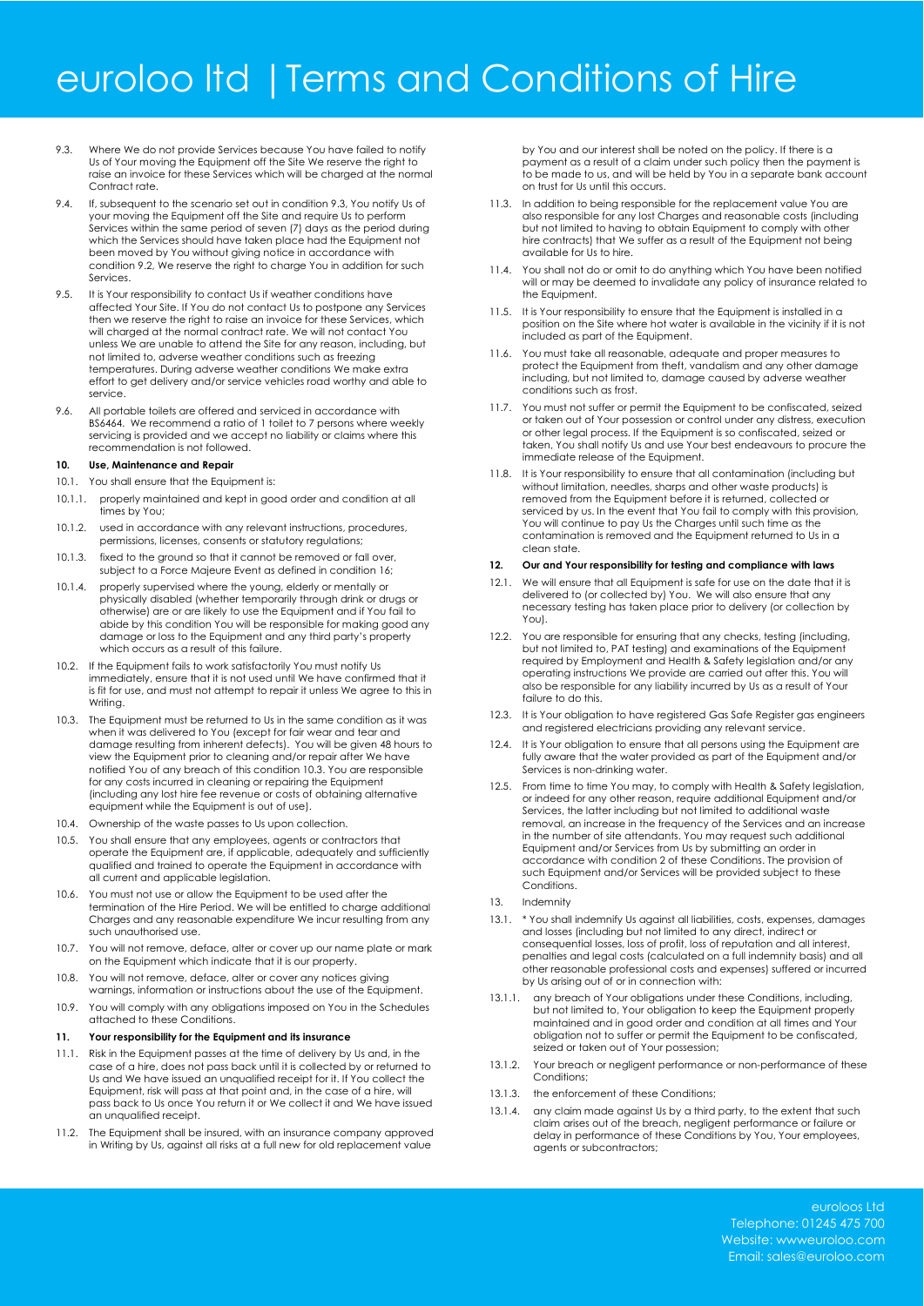### euroloo ltd |Terms and Conditions of Hire

- 9.3. Where We do not provide Services because You have failed to notify Us of Your moving the Equipment off the Site We reserve the right to raise an invoice for these Services which will be charged at the normal Contract rate.
- 9.4. If, subsequent to the scenario set out in condition 9.3, You notify Us of your moving the Equipment off the Site and require Us to perform Services within the same period of seven (7) days as the period during which the Services should have taken place had the Equipment not been moved by You without giving notice in accordance with condition 9.2, We reserve the right to charge You in addition for such Services.
- 9.5. It is Your responsibility to contact Us if weather conditions have affected Your Site. If You do not contact Us to postpone any Services then we reserve the right to raise an invoice for these Services, which will charged at the normal contract rate. We will not contact You unless We are unable to attend the Site for any reason, including, but not limited to, adverse weather conditions such as freezing temperatures. During adverse weather conditions We make extra effort to get delivery and/or service vehicles road worthy and able to service.
- 9.6. All portable toilets are offered and serviced in accordance with BS6464. We recommend a ratio of 1 toilet to 7 persons where weekly servicing is provided and we accept no liability or claims where this recommendation is not followed.

### **10. Use, Maintenance and Repair**

- 10.1. You shall ensure that the Equipment is:
- 10.1.1. properly maintained and kept in good order and condition at all times by You;
- 10.1.2. used in accordance with any relevant instructions, procedures, permissions, licenses, consents or statutory regulations;
- 10.1.3. fixed to the ground so that it cannot be removed or fall over, subject to a Force Majeure Event as defined in condition 16;
- 10.1.4. properly supervised where the young, elderly or mentally or physically disabled (whether temporarily through drink or drugs or otherwise) are or are likely to use the Equipment and if You fail to abide by this condition You will be responsible for making good any damage or loss to the Equipment and any third party's property which occurs as a result of this failure.
- 10.2. If the Equipment fails to work satisfactorily You must notify Us immediately, ensure that it is not used until We have confirmed that it is fit for use, and must not attempt to repair it unless We agree to this in Writing
- 10.3. The Equipment must be returned to Us in the same condition as it was when it was delivered to You (except for fair wear and tear and damage resulting from inherent defects). You will be given 48 hours to view the Equipment prior to cleaning and/or repair after We have notified You of any breach of this condition 10.3. You are responsible for any costs incurred in cleaning or repairing the Equipment (including any lost hire fee revenue or costs of obtaining alternative equipment while the Equipment is out of use).
- 10.4. Ownership of the waste passes to Us upon collection.
- 10.5. You shall ensure that any employees, agents or contractors that operate the Equipment are, if applicable, adequately and sufficiently qualified and trained to operate the Equipment in accordance with all current and applicable legislation.
- 10.6. You must not use or allow the Equipment to be used after the termination of the Hire Period. We will be entitled to charge additional Charges and any reasonable expenditure We incur resulting from any such unauthorised use.
- 10.7. You will not remove, deface, alter or cover up our name plate or mark on the Equipment which indicate that it is our property.
- 10.8. You will not remove, deface, alter or cover any notices giving warnings, information or instructions about the use of the Equipment.
- 10.9. You will comply with any obligations imposed on You in the Schedules attached to these Conditions.

### **11. Your responsibility for the Equipment and its insurance**

- 11.1. Risk in the Equipment passes at the time of delivery by Us and, in the case of a hire, does not pass back until it is collected by or returned to Us and We have issued an unqualified receipt for it. If You collect the Equipment, risk will pass at that point and, in the case of a hire, will pass back to Us once You return it or We collect it and We have issued an unqualified receint.
- 11.2. The Equipment shall be insured, with an insurance company approved in Writing by Us, against all risks at a full new for old replacement value

by You and our interest shall be noted on the policy. If there is a payment as a result of a claim under such policy then the payment is to be made to us, and will be held by You in a separate bank account on trust for Us until this occurs.

- 11.3. In addition to being responsible for the replacement value You are also responsible for any lost Charges and reasonable costs (including but not limited to having to obtain Equipment to comply with other bet not minimed to having to estaming approximate contracts) and We suffer as a result of the Equipment not being available for Us to hire.
- 11.4. You shall not do or omit to do anything which You have been notified will or may be deemed to invalidate any policy of insurance related to the Equipment.
- 11.5. It is Your responsibility to ensure that the Equipment is installed in a position on the Site where hot water is available in the vicinity if it is not included as part of the Equipment.
- 11.6. You must take all reasonable, adequate and proper measures to protect the Equipment from theft, vandalism and any other damage including, but not limited to, damage caused by adverse weather conditions such as frost.
- 11.7. You must not suffer or permit the Equipment to be confiscated, seized or taken out of Your possession or control under any distress, execution or other legal process. If the Equipment is so confiscated, seized or taken, You shall notify Us and use Your best endeavours to procure the immediate release of the Equipment.
- 11.8. It is Your responsibility to ensure that all contamination (including but without limitation, needles, sharps and other waste products) is removed from the Equipment before it is returned, collected or serviced by us. In the event that You fail to comply with this provision, You will continue to pay Us the Charges until such time as the contamination is removed and the Equipment returned to Us in a clean state.

### **12. Our and Your responsibility for testing and compliance with laws**

- 12.1. We will ensure that all Equipment is safe for use on the date that it is delivered to (or collected by) You. We will also ensure that any necessary testing has taken place prior to delivery (or collection by You).
- 12.2. You are responsible for ensuring that any checks, testing (including, but not limited to, PAT testing) and examinations of the Equipment required by Employment and Health & Safety legislation and/or any operating instructions We provide are carried out after this. You will also be responsible for any liability incurred by Us as a result of Your failure to do this.
- 12.3. It is Your obligation to have registered Gas Safe Register gas engineers and registered electricians providing any relevant service.
- 12.4. It is Your obligation to ensure that all persons using the Equipment are fully aware that the water provided as part of the Equipment and/or Services is non-drinking water.
- 12.5. From time to time You may, to comply with Health & Safety legislation, or indeed for any other reason, require additional Equipment and/or Services, the latter including but not limited to additional waste removal, an increase in the frequency of the Services and an increase in the number of site attendants. You may request such additional Equipment and/or Services from Us by submitting an order in accordance with condition 2 of these Conditions. The provision of such Equipment and/or Services will be provided subject to these **Conditions**
- 13. Indemnity
- 13.1. \* You shall indemnify Us against all liabilities, costs, expenses, damages and losses (including but not limited to any direct, indirect or consequential losses, loss of profit, loss of reputation and all interest, penalties and legal costs (calculated on a full indemnity basis) and all other reasonable professional costs and expenses) suffered or incurred by Us arising out of or in connection with:
- 13.1.1. any breach of Your obligations under these Conditions, including, but not limited to, Your obligation to keep the Equipment properly maintained and in good order and condition at all times and Your obligation not to suffer or permit the Equipment to be confiscated, seized or taken out of Your possession;
- 13.1.2. Your breach or negligent performance or non-performance of these Conditions:
- 13.1.3. the enforcement of these Conditions;
- 13.1.4. any claim made against Us by a third party, to the extent that such claim arises out of the breach, negligent performance or failure or delay in performance of these Conditions by You, Your employees, agents or subcontractors;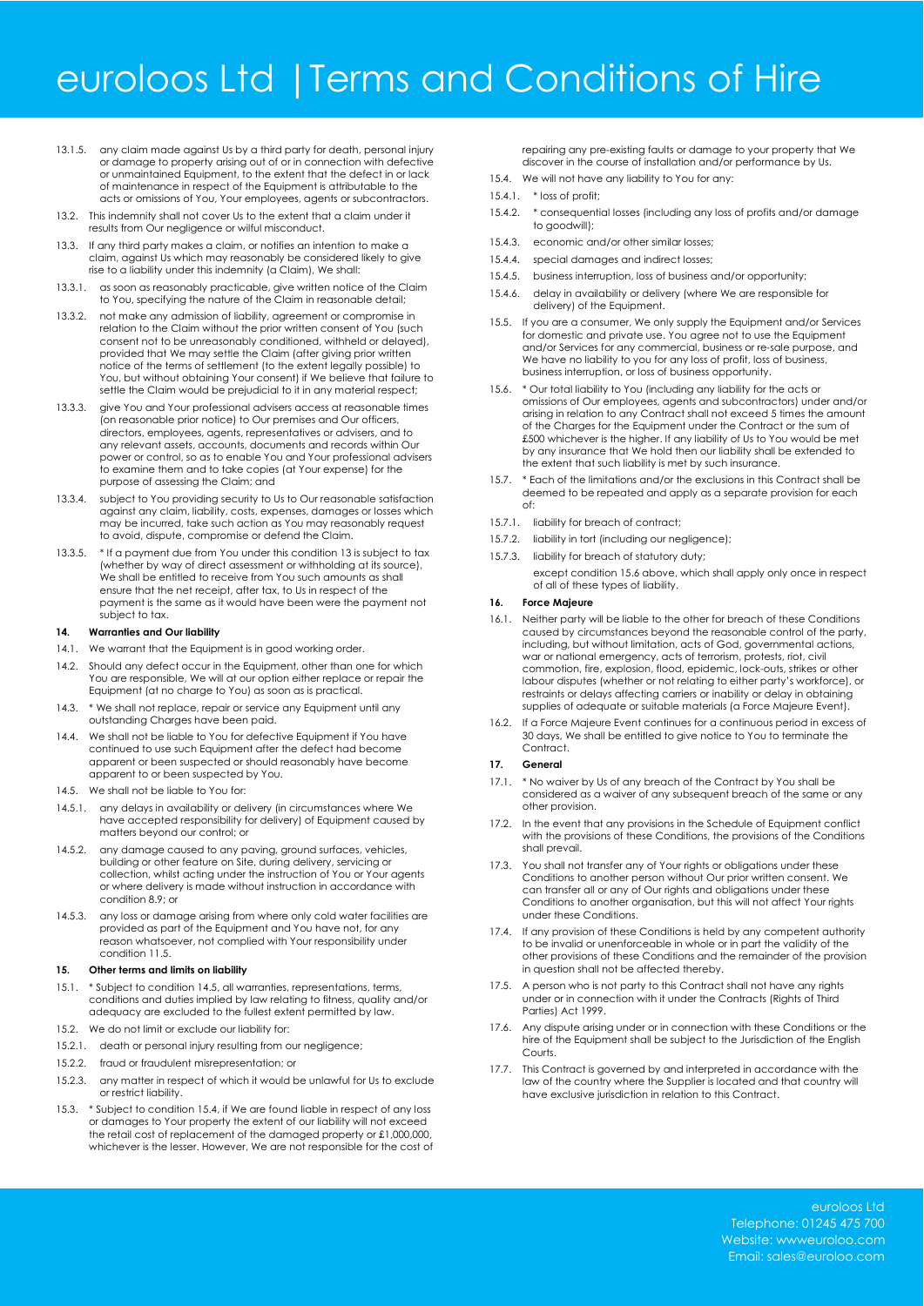### euroloos Ltd |Terms and Conditions of Hire

- 13.1.5. any claim made against Us by a third party for death, personal injury or damage to property arising out of or in connection with defective or unmaintained Equipment, to the extent that the defect in or lack of maintenance in respect of the Equipment is attributable to the acts or omissions of You, Your employees, agents or subcontractors.
- 13.2. This indemnity shall not cover Us to the extent that a claim under it results from Our negligence or wilful misconduct.
- 13.3. If any third party makes a claim, or notifies an intention to make a claim, against Us which may reasonably be considered likely to give rise to a liability under this indemnity (a Claim), We shall:
- 13.3.1. as soon as reasonably practicable, give written notice of the Claim to You, specifying the nature of the Claim in reasonable detail;
- 13.3.2. not make any admission of liability, agreement or compromise in relation to the Claim without the prior written consent of You (such consent not to be unreasonably conditioned, withheld or delayed), provided that We may settle the Claim (after giving prior written notice of the terms of settlement (to the extent legally possible) to You, but without obtaining Your consent) if We believe that failure to settle the Claim would be prejudicial to it in any material respect;
- 13.3.3. give You and Your professional advisers access at reasonable times (on reasonable prior notice) to Our premises and Our officers, directors, employees, agents, representatives or advisers, and to any relevant assets, accounts, documents and records within Our power or control, so as to enable You and Your professional advisers to examine them and to take copies (at Your expense) for the purpose of assessing the Claim; and
- 13.3.4. subject to You providing security to Us to Our reasonable satisfaction against any claim, liability, costs, expenses, damages or losses which may be incurred, take such action as You may reasonably request to avoid, dispute, compromise or defend the Claim.
- 13.3.5. \* If a payment due from You under this condition 13 is subject to tax (whether by way of direct assessment or withholding at its source), We shall be entitled to receive from You such amounts as shall ensure that the net receipt, after tax, to Us in respect of the payment is the same as it would have been were the payment not subject to tax.

### **14. Warranties and Our liability**

- 14.1. We warrant that the Equipment is in good working order.
- 14.2. Should any defect occur in the Equipment, other than one for which You are responsible, We will at our option either replace or repair the Equipment (at no charge to You) as soon as is practical.
- 14.3. \* We shall not replace, repair or service any Equipment until any outstanding Charges have been paid.
- 14.4. We shall not be liable to You for defective Equipment if You have continued to use such Equipment after the defect had become apparent or been suspected or should reasonably have become apparent to or been suspected by You.
- 14.5. We shall not be liable to You for:
- 14.5.1. any delays in availability or delivery (in circumstances where We have accepted responsibility for delivery) of Equipment caused by matters beyond our control; or
- 14.5.2. any damage caused to any paving, ground surfaces, vehicles, building or other feature on Site, during delivery, servicing or collection, whilst acting under the instruction of You or Your agents or where delivery is made without instruction in accordance with condition 8.9; or
- 14.5.3. any loss or damage arising from where only cold water facilities are provided as part of the Equipment and You have not, for any reason whatsoever, not complied with Your responsibility under condition 11.5.

### **15. Other terms and limits on liability**

- 15.1. \* Subject to condition 14.5, all warranties, representations, terms, conditions and duties implied by law relating to fitness, quality and/or adequacy are excluded to the fullest extent permitted by law. 15.2. We do not limit or exclude our liability for:
- 
- 15.2.1. death or personal injury resulting from our negligence;
- 15.2.2. fraud or fraudulent misrepresentation; or
- 15.2.3. any matter in respect of which it would be unlawful for Us to exclude or restrict liability.
- 15.3. \* Subject to condition 15.4, if We are found liable in respect of any loss or damages to Your property the extent of our liability will not exceed the retail cost of replacement of the damaged property or £1,000,000, whichever is the lesser. However, We are not responsible for the cost of

repairing any pre-existing faults or damage to your property that We discover in the course of installation and/or performance by Us.

- 15.4. We will not have any liability to You for any:
- 15.4.1. \* loss of profit;
- 15.4.2. \* consequential losses (including any loss of profits and/or damage to goodwill);
- 15.4.3. economic and/or other similar losses;
- 15.4.4. special damages and indirect losses;
- 15.4.5. business interruption, loss of business and/or opportunity;
- 15.4.6. delay in availability or delivery (where We are responsible for delivery) of the Equipment.
- 15.5. If you are a consumer, We only supply the Equipment and/or Services for domestic and private use. You agree not to use the Equipment and/or Services for any commercial, business or re-sale purpose, and We have no liability to you for any loss of profit, loss of business, business interruption, or loss of business opportunity.
- 15.6. \* Our total liability to You (including any liability for the acts or omissions of Our employees, agents and subcontractors) under and/or arising in relation to any Contract shall not exceed 5 times the amount of the Charges for the Equipment under the Contract or the sum of £500 whichever is the higher. If any liability of Us to You would be met by any insurance that We hold then our liability shall be extended to the extent that such liability is met by such insurance.
- 15.7. \* Each of the limitations and/or the exclusions in this Contract shall be deemed to be repeated and apply as a separate provision for each of:
- 15.7.1. liability for breach of contract;
- 15.7.2. liability in tort (including our negligence);
- 15.7.3. liability for breach of statutory duty;
	- except condition 15.6 above, which shall apply only once in respect of all of these types of liability.

### **16. Force Majeure**

- 16.1. Neither party will be liable to the other for breach of these Conditions caused by circumstances beyond the reasonable control of the party, including, but without limitation, acts of God, governmental actions, war or national emergency, acts of terrorism, protests, riot, civil commotion, fire, explosion, flood, epidemic, lock-outs, strikes or other labour disputes (whether or not relating to either party's workforce), or restraints or delays affecting carriers or inability or delay in obtaining supplies of adequate or suitable materials (a Force Majeure Event).
- 16.2. If a Force Majeure Event continues for a continuous period in excess of 30 days, We shall be entitled to give notice to You to terminate the Contract.

### **17. General**

- 17.1. \* No waiver by Us of any breach of the Contract by You shall be considered as a waiver of any subsequent breach of the same or any other provision.
- 17.2. In the event that any provisions in the Schedule of Equipment conflict with the provisions of these Conditions, the provisions of the Conditions shall prevail.
- 17.3. You shall not transfer any of Your rights or obligations under these Conditions to another person without Our prior written consent. We can transfer all or any of Our rights and obligations under these Conditions to another organisation, but this will not affect Your rights under these Conditions.
- 17.4. If any provision of these Conditions is held by any competent authority to be invalid or unenforceable in whole or in part the validity of the other provisions of these Conditions and the remainder of the provision in question shall not be affected thereby.
- 17.5. A person who is not party to this Contract shall not have any rights under or in connection with it under the Contracts (Rights of Third Parties) Act 1999.
- 17.6. Any dispute arising under or in connection with these Conditions or the hire of the Equipment shall be subject to the Jurisdiction of the English **Courts**
- 17.7. This Contract is governed by and interpreted in accordance with the law of the country where the Supplier is located and that country will have exclusive jurisdiction in relation to this Contract.